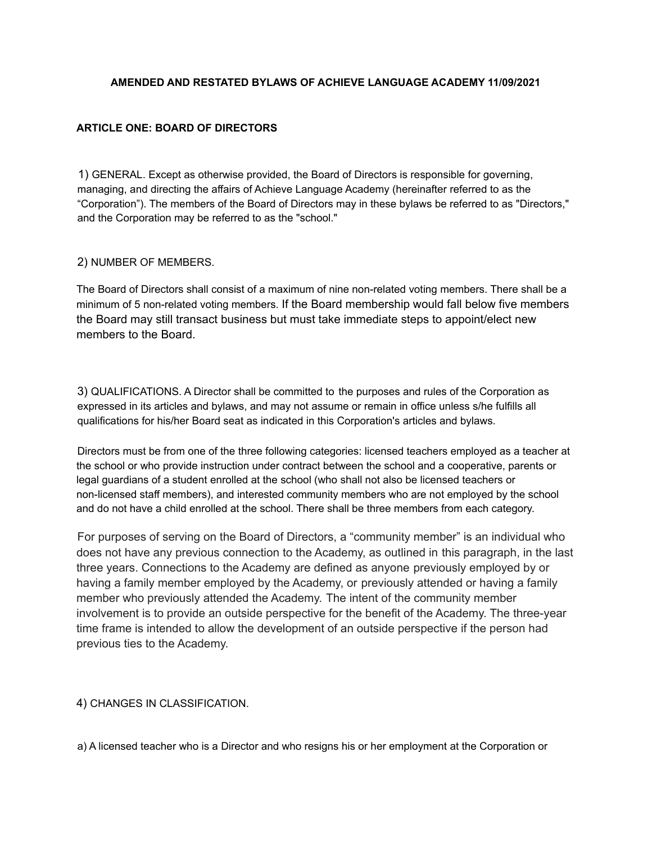### **AMENDED AND RESTATED BYLAWS OF ACHIEVE LANGUAGE ACADEMY 11/09/2021**

### **ARTICLE ONE: BOARD OF DIRECTORS**

1) GENERAL. Except as otherwise provided, the Board of Directors is responsible for governing, managing, and directing the affairs of Achieve Language Academy (hereinafter referred to as the "Corporation"). The members of the Board of Directors may in these bylaws be referred to as "Directors," and the Corporation may be referred to as the "school."

### 2) NUMBER OF MEMBERS.

The Board of Directors shall consist of a maximum of nine non-related voting members. There shall be a minimum of 5 non-related voting members. If the Board membership would fall below five members the Board may still transact business but must take immediate steps to appoint/elect new members to the Board.

3) QUALIFICATIONS. A Director shall be committed to the purposes and rules of the Corporation as expressed in its articles and bylaws, and may not assume or remain in office unless s/he fulfills all qualifications for his/her Board seat as indicated in this Corporation's articles and bylaws.

Directors must be from one of the three following categories: licensed teachers employed as a teacher at the school or who provide instruction under contract between the school and a cooperative, parents or legal guardians of a student enrolled at the school (who shall not also be licensed teachers or non-licensed staff members), and interested community members who are not employed by the school and do not have a child enrolled at the school. There shall be three members from each category.

For purposes of serving on the Board of Directors, a "community member" is an individual who does not have any previous connection to the Academy, as outlined in this paragraph, in the last three years. Connections to the Academy are defined as anyone previously employed by or having a family member employed by the Academy, or previously attended or having a family member who previously attended the Academy. The intent of the community member involvement is to provide an outside perspective for the benefit of the Academy. The three-year time frame is intended to allow the development of an outside perspective if the person had previous ties to the Academy.

### 4) CHANGES IN CLASSIFICATION.

a) A licensed teacher who is a Director and who resigns his or her employment at the Corporation or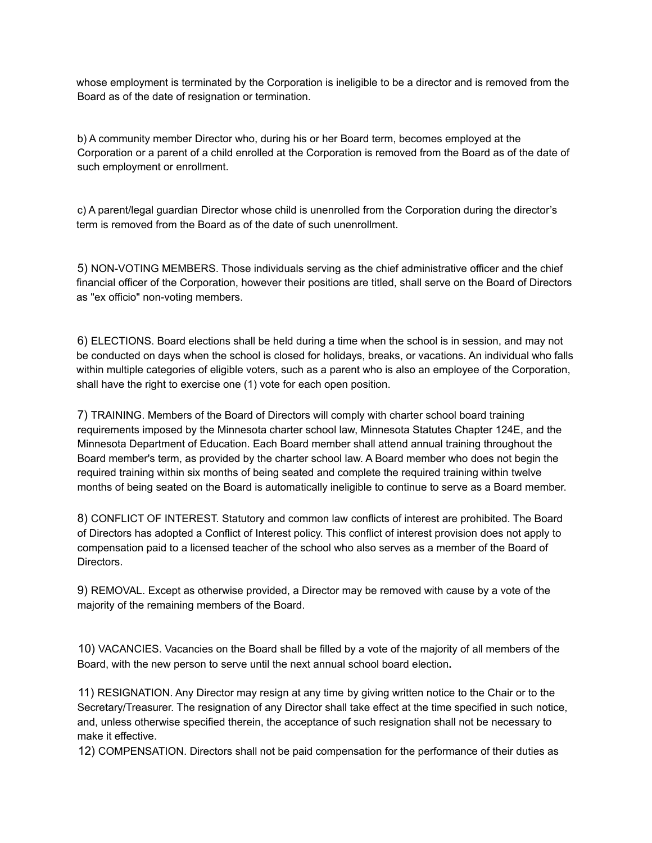whose employment is terminated by the Corporation is ineligible to be a director and is removed from the Board as of the date of resignation or termination.

b) A community member Director who, during his or her Board term, becomes employed at the Corporation or a parent of a child enrolled at the Corporation is removed from the Board as of the date of such employment or enrollment.

c) A parent/legal guardian Director whose child is unenrolled from the Corporation during the director's term is removed from the Board as of the date of such unenrollment.

5) NON-VOTING MEMBERS. Those individuals serving as the chief administrative officer and the chief financial officer of the Corporation, however their positions are titled, shall serve on the Board of Directors as "ex officio" non-voting members.

6) ELECTIONS. Board elections shall be held during a time when the school is in session, and may not be conducted on days when the school is closed for holidays, breaks, or vacations. An individual who falls within multiple categories of eligible voters, such as a parent who is also an employee of the Corporation, shall have the right to exercise one (1) vote for each open position.

7) TRAINING. Members of the Board of Directors will comply with charter school board training requirements imposed by the Minnesota charter school law, Minnesota Statutes Chapter 124E, and the Minnesota Department of Education. Each Board member shall attend annual training throughout the Board member's term, as provided by the charter school law. A Board member who does not begin the required training within six months of being seated and complete the required training within twelve months of being seated on the Board is automatically ineligible to continue to serve as a Board member.

8) CONFLICT OF INTEREST. Statutory and common law conflicts of interest are prohibited. The Board of Directors has adopted a Conflict of Interest policy. This conflict of interest provision does not apply to compensation paid to a licensed teacher of the school who also serves as a member of the Board of Directors.

9) REMOVAL. Except as otherwise provided, a Director may be removed with cause by a vote of the majority of the remaining members of the Board.

10) VACANCIES. Vacancies on the Board shall be filled by a vote of the majority of all members of the Board, with the new person to serve until the next annual school board election**.**

11) RESIGNATION. Any Director may resign at any time by giving written notice to the Chair or to the Secretary/Treasurer. The resignation of any Director shall take effect at the time specified in such notice, and, unless otherwise specified therein, the acceptance of such resignation shall not be necessary to make it effective.

12) COMPENSATION. Directors shall not be paid compensation for the performance of their duties as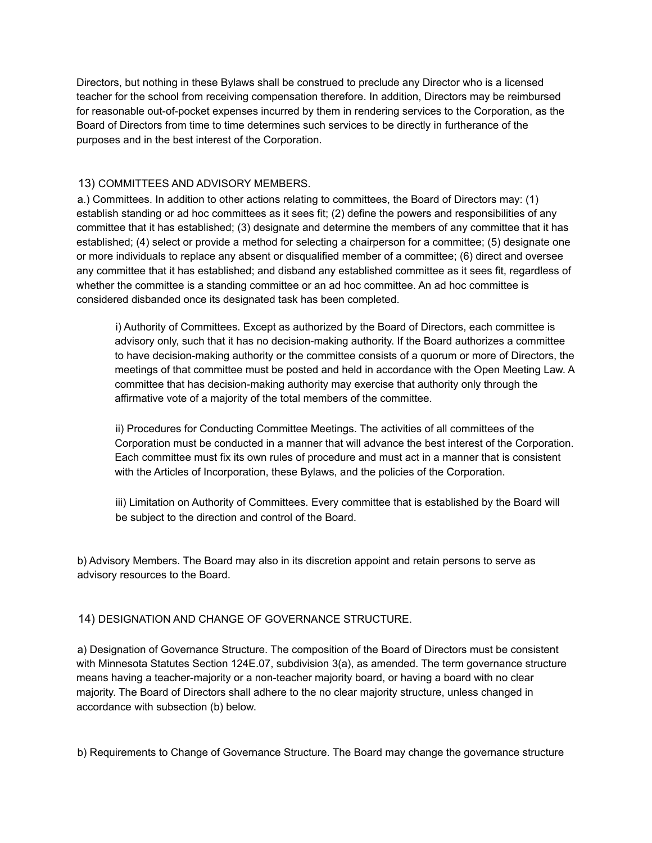Directors, but nothing in these Bylaws shall be construed to preclude any Director who is a licensed teacher for the school from receiving compensation therefore. In addition, Directors may be reimbursed for reasonable out-of-pocket expenses incurred by them in rendering services to the Corporation, as the Board of Directors from time to time determines such services to be directly in furtherance of the purposes and in the best interest of the Corporation.

## 13) COMMITTEES AND ADVISORY MEMBERS.

a.) Committees. In addition to other actions relating to committees, the Board of Directors may: (1) establish standing or ad hoc committees as it sees fit; (2) define the powers and responsibilities of any committee that it has established; (3) designate and determine the members of any committee that it has established; (4) select or provide a method for selecting a chairperson for a committee; (5) designate one or more individuals to replace any absent or disqualified member of a committee; (6) direct and oversee any committee that it has established; and disband any established committee as it sees fit, regardless of whether the committee is a standing committee or an ad hoc committee. An ad hoc committee is considered disbanded once its designated task has been completed.

i) Authority of Committees. Except as authorized by the Board of Directors, each committee is advisory only, such that it has no decision-making authority. If the Board authorizes a committee to have decision-making authority or the committee consists of a quorum or more of Directors, the meetings of that committee must be posted and held in accordance with the Open Meeting Law. A committee that has decision-making authority may exercise that authority only through the affirmative vote of a majority of the total members of the committee.

ii) Procedures for Conducting Committee Meetings. The activities of all committees of the Corporation must be conducted in a manner that will advance the best interest of the Corporation. Each committee must fix its own rules of procedure and must act in a manner that is consistent with the Articles of Incorporation, these Bylaws, and the policies of the Corporation.

iii) Limitation on Authority of Committees. Every committee that is established by the Board will be subject to the direction and control of the Board.

b) Advisory Members. The Board may also in its discretion appoint and retain persons to serve as advisory resources to the Board.

### 14) DESIGNATION AND CHANGE OF GOVERNANCE STRUCTURE.

a) Designation of Governance Structure. The composition of the Board of Directors must be consistent with Minnesota Statutes Section 124E.07, subdivision 3(a), as amended. The term governance structure means having a teacher-majority or a non-teacher majority board, or having a board with no clear majority. The Board of Directors shall adhere to the no clear majority structure, unless changed in accordance with subsection (b) below.

b) Requirements to Change of Governance Structure. The Board may change the governance structure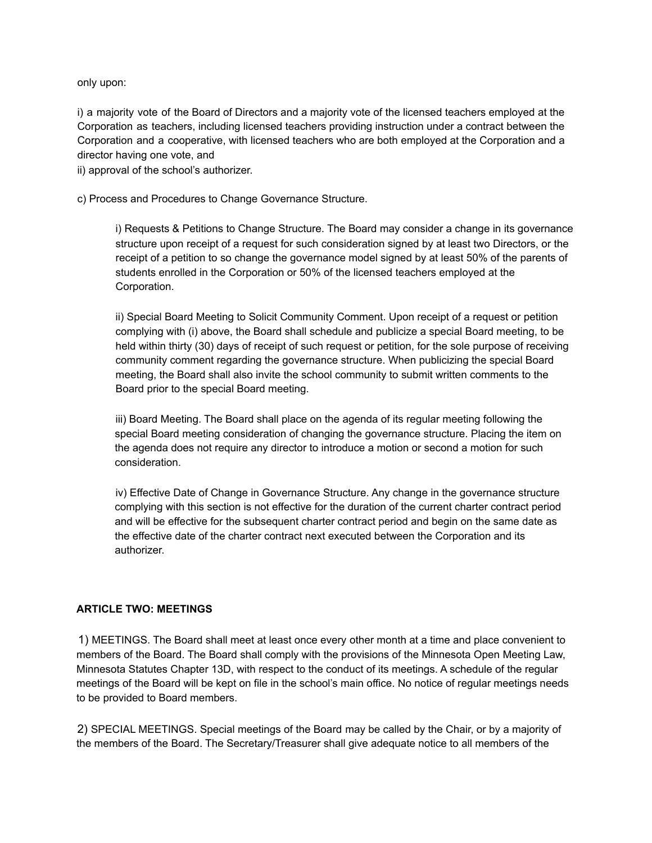only upon:

i) a majority vote of the Board of Directors and a majority vote of the licensed teachers employed at the Corporation as teachers, including licensed teachers providing instruction under a contract between the Corporation and a cooperative, with licensed teachers who are both employed at the Corporation and a director having one vote, and

ii) approval of the school's authorizer.

c) Process and Procedures to Change Governance Structure.

i) Requests & Petitions to Change Structure. The Board may consider a change in its governance structure upon receipt of a request for such consideration signed by at least two Directors, or the receipt of a petition to so change the governance model signed by at least 50% of the parents of students enrolled in the Corporation or 50% of the licensed teachers employed at the Corporation.

ii) Special Board Meeting to Solicit Community Comment. Upon receipt of a request or petition complying with (i) above, the Board shall schedule and publicize a special Board meeting, to be held within thirty (30) days of receipt of such request or petition, for the sole purpose of receiving community comment regarding the governance structure. When publicizing the special Board meeting, the Board shall also invite the school community to submit written comments to the Board prior to the special Board meeting.

iii) Board Meeting. The Board shall place on the agenda of its regular meeting following the special Board meeting consideration of changing the governance structure. Placing the item on the agenda does not require any director to introduce a motion or second a motion for such consideration.

iv) Effective Date of Change in Governance Structure. Any change in the governance structure complying with this section is not effective for the duration of the current charter contract period and will be effective for the subsequent charter contract period and begin on the same date as the effective date of the charter contract next executed between the Corporation and its authorizer.

#### **ARTICLE TWO: MEETINGS**

1) MEETINGS. The Board shall meet at least once every other month at a time and place convenient to members of the Board. The Board shall comply with the provisions of the Minnesota Open Meeting Law, Minnesota Statutes Chapter 13D, with respect to the conduct of its meetings. A schedule of the regular meetings of the Board will be kept on file in the school's main office. No notice of regular meetings needs to be provided to Board members.

2) SPECIAL MEETINGS. Special meetings of the Board may be called by the Chair, or by a majority of the members of the Board. The Secretary/Treasurer shall give adequate notice to all members of the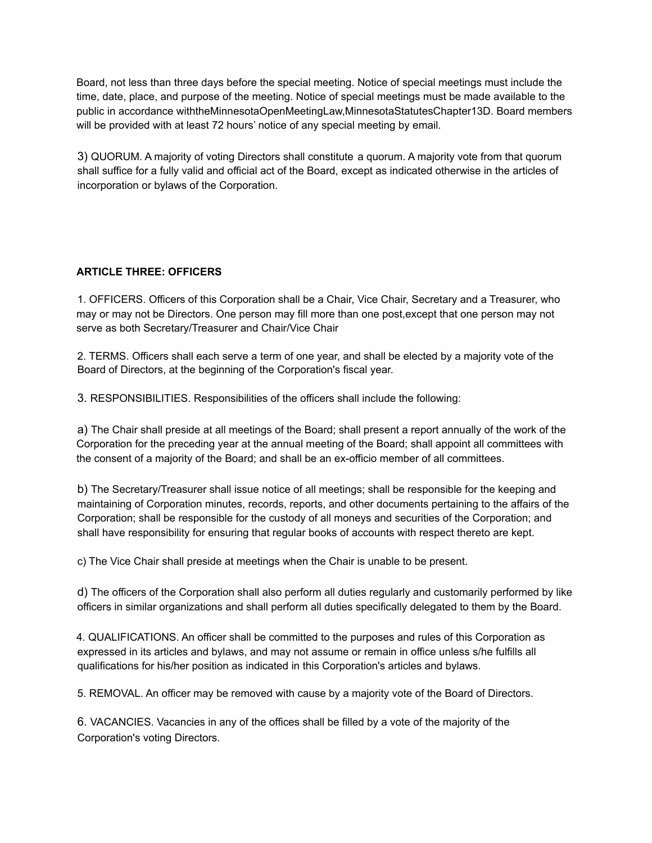Board, not less than three days before the special meeting. Notice of special meetings must include the time, date, place, and purpose of the meeting. Notice of special meetings must be made available to the public in accordance withtheMinnesotaOpenMeetingLaw,MinnesotaStatutesChapter13D. Board members will be provided with at least 72 hours' notice of any special meeting by email.

3) QUORUM. A majority of voting Directors shall constitute a quorum. A majority vote from that quorum shall suffice for a fully valid and official act of the Board, except as indicated otherwise in the articles of incorporation or bylaws of the Corporation.

## **ARTICLE THREE: OFFICERS**

1. OFFICERS. Officers of this Corporation shall be a Chair, Vice Chair, Secretary and a Treasurer, who may or may not be Directors. One person may fill more than one post,except that one person may not serve as both Secretary/Treasurer and Chair/Vice Chair

2. TERMS. Officers shall each serve a term of one year, and shall be elected by a majority vote of the Board of Directors, at the beginning of the Corporation's fiscal year.

3. RESPONSIBILITIES. Responsibilities of the officers shall include the following:

a) The Chair shall preside at all meetings of the Board; shall present a report annually of the work of the Corporation for the preceding year at the annual meeting of the Board; shall appoint all committees with the consent of a majority of the Board; and shall be an ex-officio member of all committees.

b) The Secretary/Treasurer shall issue notice of all meetings; shall be responsible for the keeping and maintaining of Corporation minutes, records, reports, and other documents pertaining to the affairs of the Corporation; shall be responsible for the custody of all moneys and securities of the Corporation; and shall have responsibility for ensuring that regular books of accounts with respect thereto are kept.

c) The Vice Chair shall preside at meetings when the Chair is unable to be present.

d) The officers of the Corporation shall also perform all duties regularly and customarily performed by like officers in similar organizations and shall perform all duties specifically delegated to them by the Board.

4. QUALIFICATIONS. An officer shall be committed to the purposes and rules of this Corporation as expressed in its articles and bylaws, and may not assume or remain in office unless s/he fulfills all qualifications for his/her position as indicated in this Corporation's articles and bylaws.

5. REMOVAL. An officer may be removed with cause by a majority vote of the Board of Directors.

6. VACANCIES. Vacancies in any of the offices shall be filled by a vote of the majority of the Corporation's voting Directors.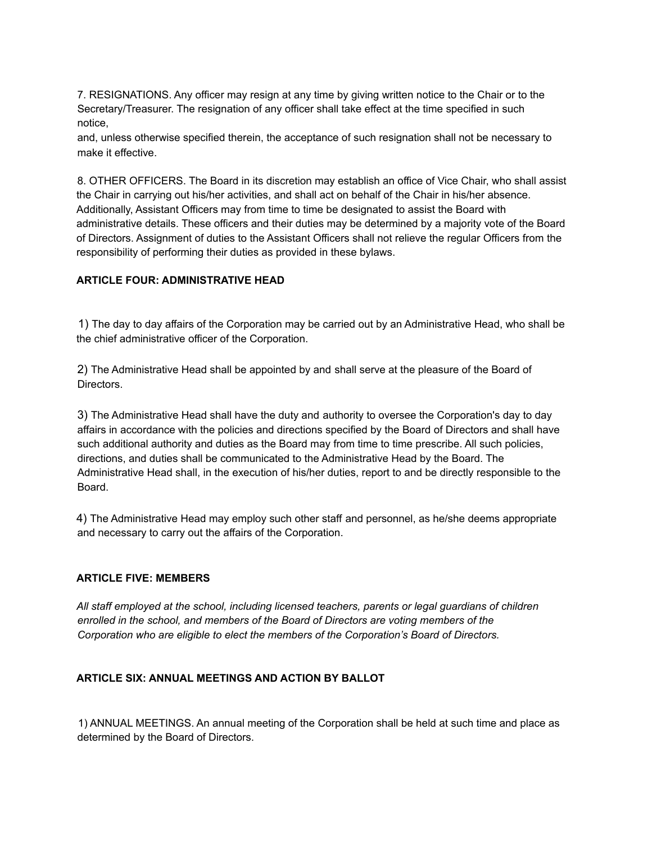7. RESIGNATIONS. Any officer may resign at any time by giving written notice to the Chair or to the Secretary/Treasurer. The resignation of any officer shall take effect at the time specified in such notice,

and, unless otherwise specified therein, the acceptance of such resignation shall not be necessary to make it effective.

8. OTHER OFFICERS. The Board in its discretion may establish an office of Vice Chair, who shall assist the Chair in carrying out his/her activities, and shall act on behalf of the Chair in his/her absence. Additionally, Assistant Officers may from time to time be designated to assist the Board with administrative details. These officers and their duties may be determined by a majority vote of the Board of Directors. Assignment of duties to the Assistant Officers shall not relieve the regular Officers from the responsibility of performing their duties as provided in these bylaws.

### **ARTICLE FOUR: ADMINISTRATIVE HEAD**

1) The day to day affairs of the Corporation may be carried out by an Administrative Head, who shall be the chief administrative officer of the Corporation.

2) The Administrative Head shall be appointed by and shall serve at the pleasure of the Board of Directors.

3) The Administrative Head shall have the duty and authority to oversee the Corporation's day to day affairs in accordance with the policies and directions specified by the Board of Directors and shall have such additional authority and duties as the Board may from time to time prescribe. All such policies, directions, and duties shall be communicated to the Administrative Head by the Board. The Administrative Head shall, in the execution of his/her duties, report to and be directly responsible to the Board.

4) The Administrative Head may employ such other staff and personnel, as he/she deems appropriate and necessary to carry out the affairs of the Corporation.

### **ARTICLE FIVE: MEMBERS**

*All staff employed at the school, including licensed teachers, parents or legal guardians of children enrolled in the school, and members of the Board of Directors are voting members of the Corporation who are eligible to elect the members of the Corporation's Board of Directors.*

### **ARTICLE SIX: ANNUAL MEETINGS AND ACTION BY BALLOT**

1) ANNUAL MEETINGS. An annual meeting of the Corporation shall be held at such time and place as determined by the Board of Directors.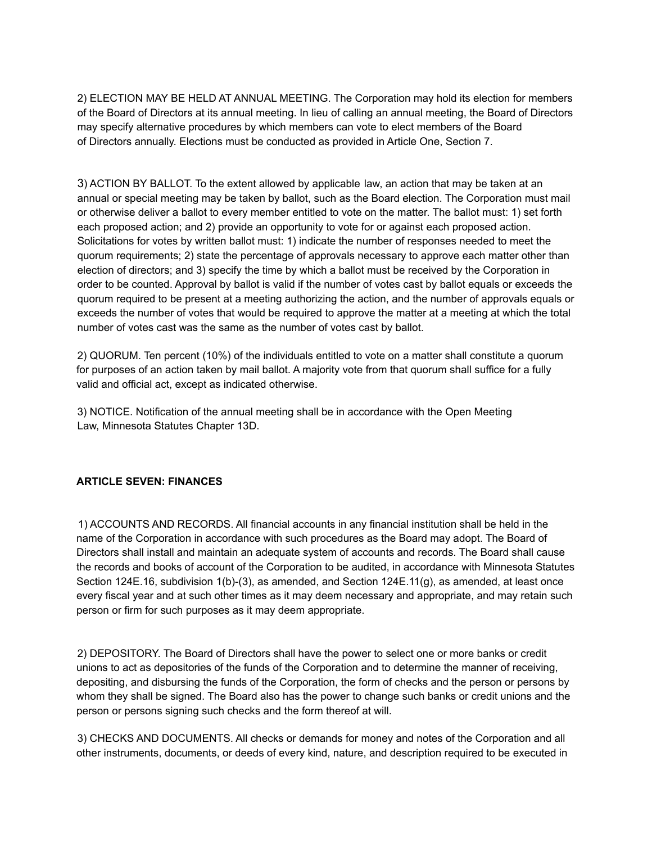2) ELECTION MAY BE HELD AT ANNUAL MEETING. The Corporation may hold its election for members of the Board of Directors at its annual meeting. In lieu of calling an annual meeting, the Board of Directors may specify alternative procedures by which members can vote to elect members of the Board of Directors annually. Elections must be conducted as provided in Article One, Section 7.

3) ACTION BY BALLOT. To the extent allowed by applicable law, an action that may be taken at an annual or special meeting may be taken by ballot, such as the Board election. The Corporation must mail or otherwise deliver a ballot to every member entitled to vote on the matter. The ballot must: 1) set forth each proposed action; and 2) provide an opportunity to vote for or against each proposed action. Solicitations for votes by written ballot must: 1) indicate the number of responses needed to meet the quorum requirements; 2) state the percentage of approvals necessary to approve each matter other than election of directors; and 3) specify the time by which a ballot must be received by the Corporation in order to be counted. Approval by ballot is valid if the number of votes cast by ballot equals or exceeds the quorum required to be present at a meeting authorizing the action, and the number of approvals equals or exceeds the number of votes that would be required to approve the matter at a meeting at which the total number of votes cast was the same as the number of votes cast by ballot.

2) QUORUM. Ten percent (10%) of the individuals entitled to vote on a matter shall constitute a quorum for purposes of an action taken by mail ballot. A majority vote from that quorum shall suffice for a fully valid and official act, except as indicated otherwise.

3) NOTICE. Notification of the annual meeting shall be in accordance with the Open Meeting Law, Minnesota Statutes Chapter 13D.

### **ARTICLE SEVEN: FINANCES**

1) ACCOUNTS AND RECORDS. All financial accounts in any financial institution shall be held in the name of the Corporation in accordance with such procedures as the Board may adopt. The Board of Directors shall install and maintain an adequate system of accounts and records. The Board shall cause the records and books of account of the Corporation to be audited, in accordance with Minnesota Statutes Section 124E.16, subdivision 1(b)-(3), as amended, and Section 124E.11(g), as amended, at least once every fiscal year and at such other times as it may deem necessary and appropriate, and may retain such person or firm for such purposes as it may deem appropriate.

2) DEPOSITORY. The Board of Directors shall have the power to select one or more banks or credit unions to act as depositories of the funds of the Corporation and to determine the manner of receiving, depositing, and disbursing the funds of the Corporation, the form of checks and the person or persons by whom they shall be signed. The Board also has the power to change such banks or credit unions and the person or persons signing such checks and the form thereof at will.

3) CHECKS AND DOCUMENTS. All checks or demands for money and notes of the Corporation and all other instruments, documents, or deeds of every kind, nature, and description required to be executed in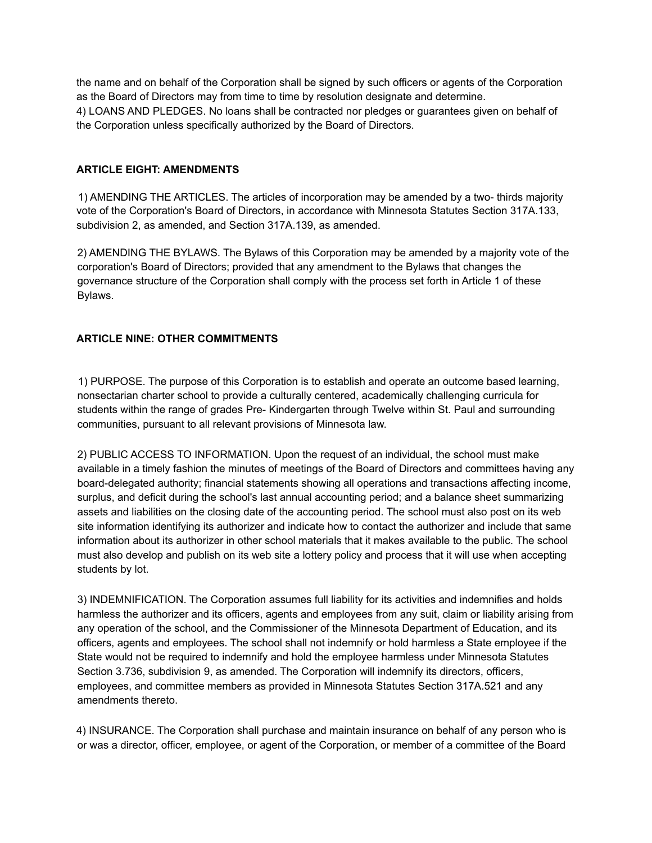the name and on behalf of the Corporation shall be signed by such officers or agents of the Corporation as the Board of Directors may from time to time by resolution designate and determine. 4) LOANS AND PLEDGES. No loans shall be contracted nor pledges or guarantees given on behalf of the Corporation unless specifically authorized by the Board of Directors.

### **ARTICLE EIGHT: AMENDMENTS**

1) AMENDING THE ARTICLES. The articles of incorporation may be amended by a two- thirds majority vote of the Corporation's Board of Directors, in accordance with Minnesota Statutes Section 317A.133, subdivision 2, as amended, and Section 317A.139, as amended.

2) AMENDING THE BYLAWS. The Bylaws of this Corporation may be amended by a majority vote of the corporation's Board of Directors; provided that any amendment to the Bylaws that changes the governance structure of the Corporation shall comply with the process set forth in Article 1 of these Bylaws.

# **ARTICLE NINE: OTHER COMMITMENTS**

1) PURPOSE. The purpose of this Corporation is to establish and operate an outcome based learning, nonsectarian charter school to provide a culturally centered, academically challenging curricula for students within the range of grades Pre- Kindergarten through Twelve within St. Paul and surrounding communities, pursuant to all relevant provisions of Minnesota law.

2) PUBLIC ACCESS TO INFORMATION. Upon the request of an individual, the school must make available in a timely fashion the minutes of meetings of the Board of Directors and committees having any board-delegated authority; financial statements showing all operations and transactions affecting income, surplus, and deficit during the school's last annual accounting period; and a balance sheet summarizing assets and liabilities on the closing date of the accounting period. The school must also post on its web site information identifying its authorizer and indicate how to contact the authorizer and include that same information about its authorizer in other school materials that it makes available to the public. The school must also develop and publish on its web site a lottery policy and process that it will use when accepting students by lot.

3) INDEMNIFICATION. The Corporation assumes full liability for its activities and indemnifies and holds harmless the authorizer and its officers, agents and employees from any suit, claim or liability arising from any operation of the school, and the Commissioner of the Minnesota Department of Education, and its officers, agents and employees. The school shall not indemnify or hold harmless a State employee if the State would not be required to indemnify and hold the employee harmless under Minnesota Statutes Section 3.736, subdivision 9, as amended. The Corporation will indemnify its directors, officers, employees, and committee members as provided in Minnesota Statutes Section 317A.521 and any amendments thereto.

4) INSURANCE. The Corporation shall purchase and maintain insurance on behalf of any person who is or was a director, officer, employee, or agent of the Corporation, or member of a committee of the Board